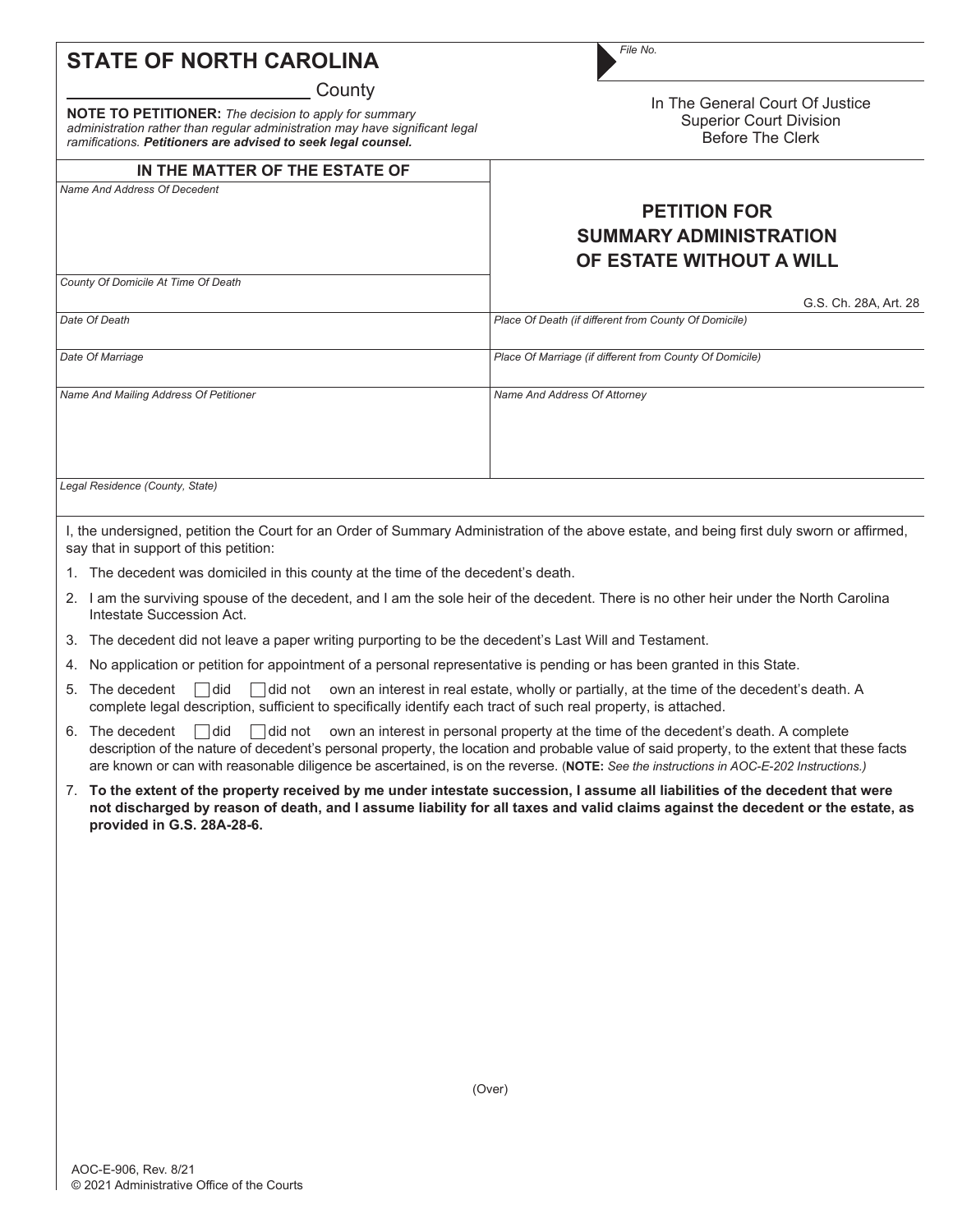## **STATE OF NORTH CAROLINA**

**County** 

**NOTE TO PETITIONER:** *The decision to apply for summary administration rather than regular administration may have significant legal ramifications. Petitioners are advised to seek legal counsel.*

## **IN THE MATTER OF THE ESTATE OF**

In The General Court Of Justice Superior Court Division Before The Clerk

## **PETITION FOR SUMMARY ADMINISTRATION OF ESTATE WITHOUT A WILL** G.S. Ch. 28A, Art. 28 *Name And Address Of Decedent Date Of Death Date Of Marriage Name And Mailing Address Of Petitioner County Of Domicile At Time Of Death Place Of Death (if different from County Of Domicile) Place Of Marriage (if different from County Of Domicile) Name And Address Of Attorney*

*Legal Residence (County, State)*

I, the undersigned, petition the Court for an Order of Summary Administration of the above estate, and being first duly sworn or affirmed, say that in support of this petition:

- 1. The decedent was domiciled in this county at the time of the decedent's death.
- 2. I am the surviving spouse of the decedent, and I am the sole heir of the decedent. There is no other heir under the North Carolina Intestate Succession Act.
- 3. The decedent did not leave a paper writing purporting to be the decedent's Last Will and Testament.
- 4. No application or petition for appointment of a personal representative is pending or has been granted in this State.
- 5. The decedent  $\Box$  did  $\Box$  did not own an interest in real estate, wholly or partially, at the time of the decedent's death. A complete legal description, sufficient to specifically identify each tract of such real property, is attached.
- 6. The decedent  $\Box$  did  $\Box$  did not own an interest in personal property at the time of the decedent's death. A complete description of the nature of decedent's personal property, the location and probable value of said property, to the extent that these facts are known or can with reasonable diligence be ascertained, is on the reverse. (**NOTE:** *See the instructions in AOC-E-202 Instructions.)*
- 7. **To the extent of the property received by me under intestate succession, I assume all liabilities of the decedent that were not discharged by reason of death, and I assume liability for all taxes and valid claims against the decedent or the estate, as provided in G.S. 28A-28-6.**

(Over)

*File No.*